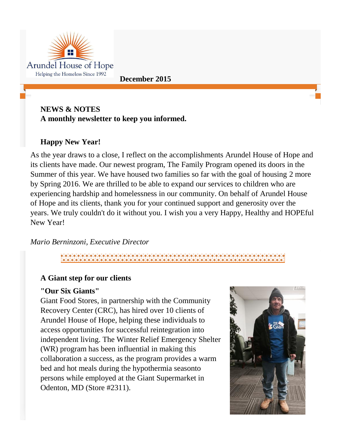

## **NEWS & NOTES A monthly newsletter to keep you informed.**

# **Happy New Year!**

As the year draws to a close, I reflect on the accomplishments Arundel House of Hope and its clients have made. Our newest program, The Family Program opened its doors in the Summer of this year. We have housed two families so far with the goal of housing 2 more by Spring 2016. We are thrilled to be able to expand our services to children who are experiencing hardship and homelessness in our community. On behalf of Arundel House of Hope and its clients, thank you for your continued support and generosity over the years. We truly couldn't do it without you. I wish you a very Happy, Healthy and HOPEful New Year!

### *Mario Berninzoni, Executive Director*

# **A Giant step for our clients**

### **"Our Six Giants"**

Giant Food Stores, in partnership with the Community Recovery Center (CRC), has hired over 10 clients of Arundel House of Hope, helping these individuals to access opportunities for successful reintegration into independent living. The Winter Relief Emergency Shelter (WR) program has been influential in making this collaboration a success, as the program provides a warm bed and hot meals during the hypothermia seasonto persons while employed at the Giant Supermarket in Odenton, MD (Store #2311).

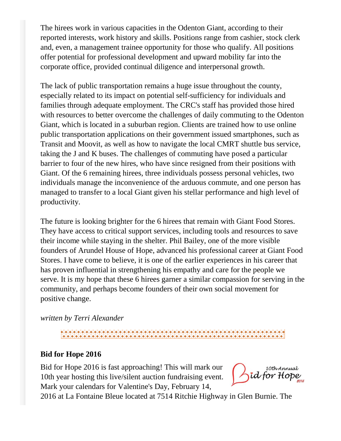The hirees work in various capacities in the Odenton Giant, according to their reported interests, work history and skills. Positions range from cashier, stock clerk and, even, a management trainee opportunity for those who qualify. All positions offer potential for professional development and upward mobility far into the corporate office, provided continual diligence and interpersonal growth.

The lack of public transportation remains a huge issue throughout the county, especially related to its impact on potential self-sufficiency for individuals and families through adequate employment. The CRC's staff has provided those hired with resources to better overcome the challenges of daily commuting to the Odenton Giant, which is located in a suburban region. Clients are trained how to use online public transportation applications on their government issued smartphones, such as Transit and Moovit, as well as how to navigate the local CMRT shuttle bus service, taking the J and K buses. The challenges of commuting have posed a particular barrier to four of the new hires, who have since resigned from their positions with Giant. Of the 6 remaining hirees, three individuals possess personal vehicles, two individuals manage the inconvenience of the arduous commute, and one person has managed to transfer to a local Giant given his stellar performance and high level of productivity.

The future is looking brighter for the 6 hirees that remain with Giant Food Stores. They have access to critical support services, including tools and resources to save their income while staying in the shelter. Phil Bailey, one of the more visible founders of Arundel House of Hope, advanced his professional career at Giant Food Stores. I have come to believe, it is one of the earlier experiences in his career that has proven influential in strengthening his empathy and care for the people we serve. It is my hope that these 6 hirees garner a similar compassion for serving in the community, and perhaps become founders of their own social movement for positive change.

*written by Terri Alexander*

# \*\*\*\*\*\*\*\*\*\*\*\*\*\*\*\*\*\*\*\*\*\*\*\*\*\*\*\*\*\*\*

#### **Bid for Hope 2016**

Bid for Hope 2016 is fast approaching! This will mark our 10th year hosting this live/silent auction fundraising event. Mark your calendars for Valentine's Day, February 14,

10th Annual id for H

2016 at La Fontaine Bleue located at 7514 Ritchie Highway in Glen Burnie. The